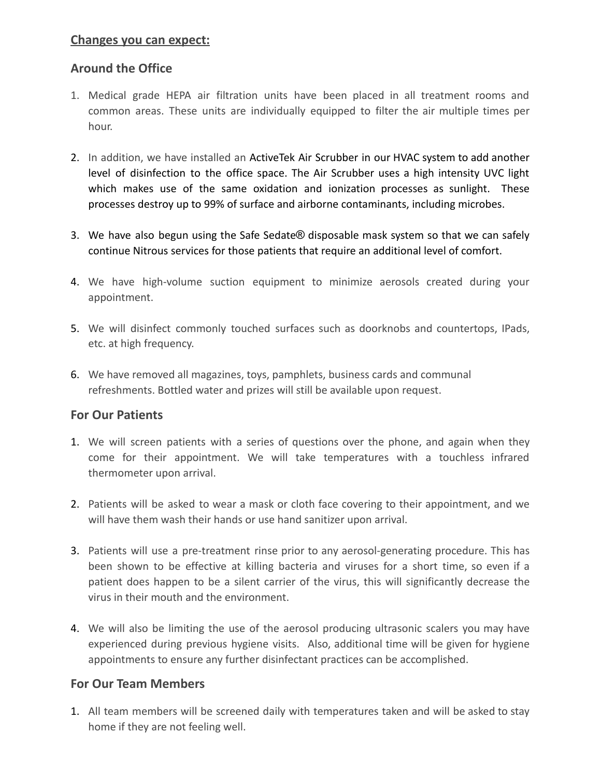#### **Changes you can expect:**

## **Around the Office**

- 1. Medical grade HEPA air filtration units have been placed in all treatment rooms and common areas. These units are individually equipped to filter the air multiple times per hour.
- 2. In addition, we have installed an ActiveTek Air Scrubber in our HVAC system to add another level of disinfection to the office space. The Air Scrubber uses a high intensity UVC light which makes use of the same oxidation and ionization processes as sunlight. These processes destroy up to 99% of surface and airborne contaminants, including microbes.
- 3. We have also begun using the Safe Sedate® disposable mask system so that we can safely continue Nitrous services for those patients that require an additional level of comfort.
- 4. We have high-volume suction equipment to minimize aerosols created during your appointment.
- 5. We will disinfect commonly touched surfaces such as doorknobs and countertops, IPads, etc. at high frequency.
- 6. We have removed all magazines, toys, pamphlets, business cards and communal refreshments. Bottled water and prizes will still be available upon request.

### **For Our Patients**

- 1. We will screen patients with a series of questions over the phone, and again when they come for their appointment. We will take temperatures with a touchless infrared thermometer upon arrival.
- 2. Patients will be asked to wear a mask or cloth face covering to their appointment, and we will have them wash their hands or use hand sanitizer upon arrival.
- 3. Patients will use a pre-treatment rinse prior to any aerosol-generating procedure. This has been shown to be effective at killing bacteria and viruses for a short time, so even if a patient does happen to be a silent carrier of the virus, this will significantly decrease the virus in their mouth and the environment.
- 4. We will also be limiting the use of the aerosol producing ultrasonic scalers you may have experienced during previous hygiene visits. Also, additional time will be given for hygiene appointments to ensure any further disinfectant practices can be accomplished.

### **For Our Team Members**

1. All team members will be screened daily with temperatures taken and will be asked to stay home if they are not feeling well.